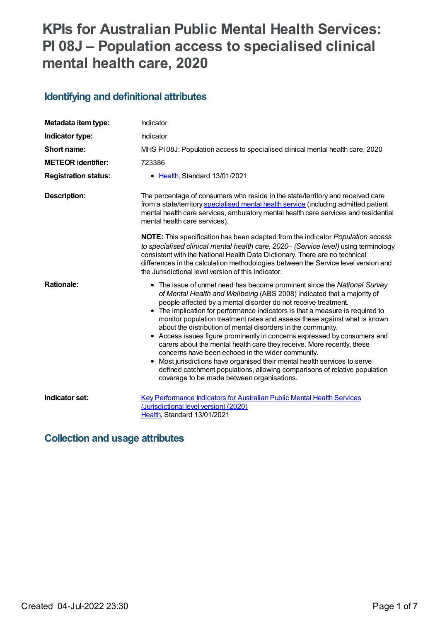# **KPIs for Australian Public Mental Health Services: PI 08J – Population access to specialised clinical mental health care, 2020**

## **Identifying and definitional attributes**

| Metadata item type:         | Indicator                                                                                                                                                                                                                                                                                                                                                                                                                                                                                                                                                                                                                                                                                                                                                                                                                                                               |
|-----------------------------|-------------------------------------------------------------------------------------------------------------------------------------------------------------------------------------------------------------------------------------------------------------------------------------------------------------------------------------------------------------------------------------------------------------------------------------------------------------------------------------------------------------------------------------------------------------------------------------------------------------------------------------------------------------------------------------------------------------------------------------------------------------------------------------------------------------------------------------------------------------------------|
| Indicator type:             | Indicator                                                                                                                                                                                                                                                                                                                                                                                                                                                                                                                                                                                                                                                                                                                                                                                                                                                               |
| Short name:                 | MHS PI08J: Population access to specialised clinical mental health care, 2020                                                                                                                                                                                                                                                                                                                                                                                                                                                                                                                                                                                                                                                                                                                                                                                           |
| <b>METEOR identifier:</b>   | 723386                                                                                                                                                                                                                                                                                                                                                                                                                                                                                                                                                                                                                                                                                                                                                                                                                                                                  |
| <b>Registration status:</b> | • Health, Standard 13/01/2021                                                                                                                                                                                                                                                                                                                                                                                                                                                                                                                                                                                                                                                                                                                                                                                                                                           |
| <b>Description:</b>         | The percentage of consumers who reside in the state/territory and received care<br>from a state/territory specialised mental health service (including admitted patient<br>mental health care services, ambulatory mental health care services and residential<br>mental health care services).                                                                                                                                                                                                                                                                                                                                                                                                                                                                                                                                                                         |
|                             | NOTE: This specification has been adapted from the indicator Population access<br>to specialised clinical mental health care, 2020- (Service level) using terminology<br>consistent with the National Health Data Dictionary. There are no technical<br>differences in the calculation methodologies between the Service level version and<br>the Jurisdictional level version of this indicator.                                                                                                                                                                                                                                                                                                                                                                                                                                                                       |
| <b>Rationale:</b>           | • The issue of unmet need has become prominent since the National Survey<br>of Mental Health and Wellbeing (ABS 2008) indicated that a majority of<br>people affected by a mental disorder do not receive treatment.<br>• The implication for performance indicators is that a measure is required to<br>monitor population treatment rates and assess these against what is known<br>about the distribution of mental disorders in the community.<br>• Access issues figure prominently in concerns expressed by consumers and<br>carers about the mental health care they receive. More recently, these<br>concerns have been echoed in the wider community.<br>• Most jurisdictions have organised their mental health services to serve<br>defined catchment populations, allowing comparisons of relative population<br>coverage to be made between organisations. |
| Indicator set:              | Key Performance Indicators for Australian Public Mental Health Services<br>(Jurisdictional level version) (2020)<br>Health, Standard 13/01/2021                                                                                                                                                                                                                                                                                                                                                                                                                                                                                                                                                                                                                                                                                                                         |

## **Collection and usage attributes**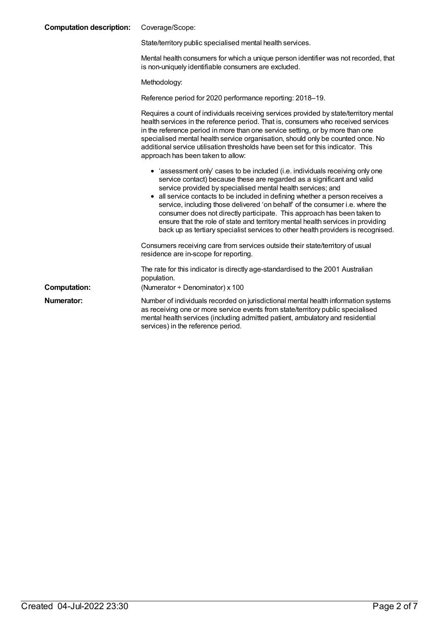| <b>Computation description:</b> | Coverage/Scope:                                                                                                                                                                                                                                                                                                                                                                                                                                                                                                                                                                                                                                       |
|---------------------------------|-------------------------------------------------------------------------------------------------------------------------------------------------------------------------------------------------------------------------------------------------------------------------------------------------------------------------------------------------------------------------------------------------------------------------------------------------------------------------------------------------------------------------------------------------------------------------------------------------------------------------------------------------------|
|                                 | State/territory public specialised mental health services.                                                                                                                                                                                                                                                                                                                                                                                                                                                                                                                                                                                            |
|                                 | Mental health consumers for which a unique person identifier was not recorded, that<br>is non-uniquely identifiable consumers are excluded.                                                                                                                                                                                                                                                                                                                                                                                                                                                                                                           |
|                                 | Methodology:                                                                                                                                                                                                                                                                                                                                                                                                                                                                                                                                                                                                                                          |
|                                 | Reference period for 2020 performance reporting: 2018–19.                                                                                                                                                                                                                                                                                                                                                                                                                                                                                                                                                                                             |
|                                 | Requires a count of individuals receiving services provided by state/territory mental<br>health services in the reference period. That is, consumers who received services<br>in the reference period in more than one service setting, or by more than one<br>specialised mental health service organisation, should only be counted once. No<br>additional service utilisation thresholds have been set for this indicator. This<br>approach has been taken to allow:                                                                                                                                                                               |
|                                 | • 'assessment only' cases to be included (i.e. individuals receiving only one<br>service contact) because these are regarded as a significant and valid<br>service provided by specialised mental health services; and<br>all service contacts to be included in defining whether a person receives a<br>$\bullet$<br>service, including those delivered 'on behalf' of the consumer i.e. where the<br>consumer does not directly participate. This approach has been taken to<br>ensure that the role of state and territory mental health services in providing<br>back up as tertiary specialist services to other health providers is recognised. |
|                                 | Consumers receiving care from services outside their state/territory of usual<br>residence are in-scope for reporting.                                                                                                                                                                                                                                                                                                                                                                                                                                                                                                                                |
|                                 | The rate for this indicator is directly age-standardised to the 2001 Australian<br>population.                                                                                                                                                                                                                                                                                                                                                                                                                                                                                                                                                        |
| <b>Computation:</b>             | (Numerator $\div$ Denominator) x 100                                                                                                                                                                                                                                                                                                                                                                                                                                                                                                                                                                                                                  |
| Numerator:                      | Number of individuals recorded on jurisdictional mental health information systems<br>as receiving one or more service events from state/territory public specialised<br>mental health services (including admitted patient, ambulatory and residential<br>services) in the reference period.                                                                                                                                                                                                                                                                                                                                                         |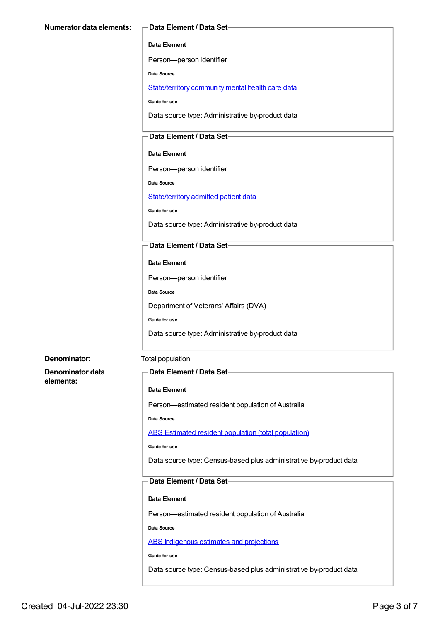#### **Data Element**

Person—person identifier

**Data Source**

[State/territory](file:///content/402135) community mental health care data

**Guide for use**

Data source type: Administrative by-product data

## **Data Element / Data Set**

**Data Element**

Person—person identifier

**Data Source**

[State/territory](file:///content/426458) admitted patient data

**Guide for use**

Data source type: Administrative by-product data

#### **Data Element / Data Set**

#### **Data Element**

Person—person identifier

**Data Source**

Department of Veterans' Affairs (DVA)

**Guide for use**

Data source type: Administrative by-product data

#### **Denominator:** Total population

**Denominator data elements:**

#### **Data Element / Data Set**

#### **Data Element**

Person—estimated resident population of Australia

**Data Source**

ABS Estimated resident population (total [population\)](file:///content/393625)

**Guide for use**

Data source type: Census-based plus administrative by-product data

## **Data Element / Data Set**

#### **Data Element**

Person—estimated resident population of Australia

**Data Source**

ABS [Indigenous](file:///content/585472) estimates and projections

**Guide for use**

Data source type: Census-based plus administrative by-product data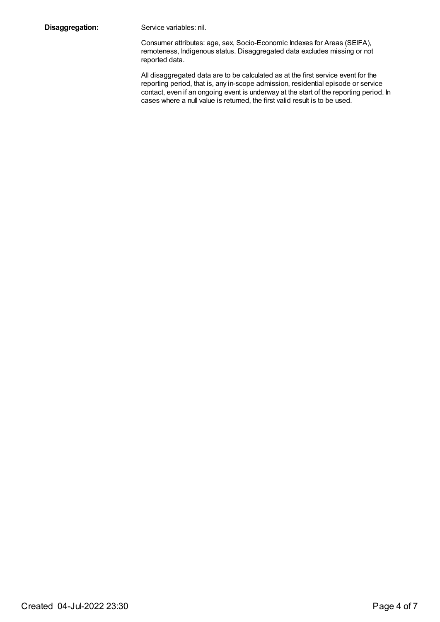**Disaggregation:** Service variables: nil.

Consumer attributes: age, sex, Socio-Economic Indexes for Areas (SEIFA), remoteness, Indigenous status. Disaggregated data excludes missing or not reported data.

All disaggregated data are to be calculated as at the first service event for the reporting period, that is, any in-scope admission, residential episode or service contact, even if an ongoing event is underway at the start of the reporting period. In cases where a null value is returned, the first valid result is to be used.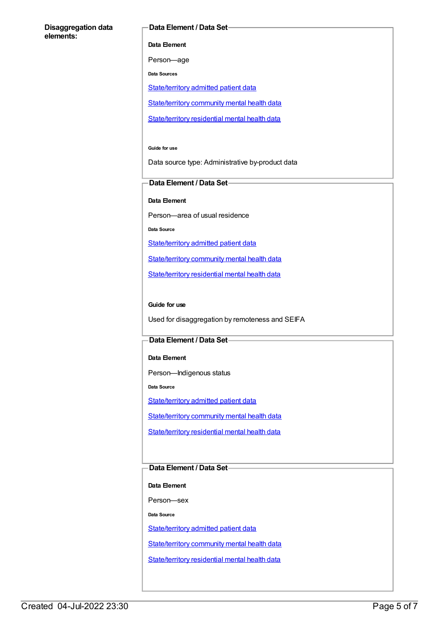#### **Disaggregation data elements:**

#### **Data Element / Data Set**

**Data Element**

Person—age

**Data Sources**

[State/territory](file:///content/426458) admitted patient data

[State/territory](file:///content/402135) community mental health data

[State/territory](file:///content/630460) residential mental health data

**Guide for use**

Data source type: Administrative by-product data

### **Data Element / Data Set**

**Data Element**

Person—area of usual residence

**Data Source**

[State/territory](file:///content/426458) admitted patient data

[State/territory](file:///content/402135) community mental health data

[State/territory](file:///content/630460) residential mental health data

#### **Guide for use**

Used for disaggregation by remoteness and SEIFA

### **Data Element / Data Set**

**Data Element**

Person—Indigenous status

**Data Source**

[State/territory](file:///content/426458) admitted patient data

[State/territory](file:///content/402135) community mental health data

[State/territory](file:///content/630460) residential mental health data

## **Data Element / Data Set**

**Data Element**

Person—sex

**Data Source**

[State/territory](file:///content/426458) admitted patient data

[State/territory](file:///content/402135) community mental health data

[State/territory](file:///content/630460) residential mental health data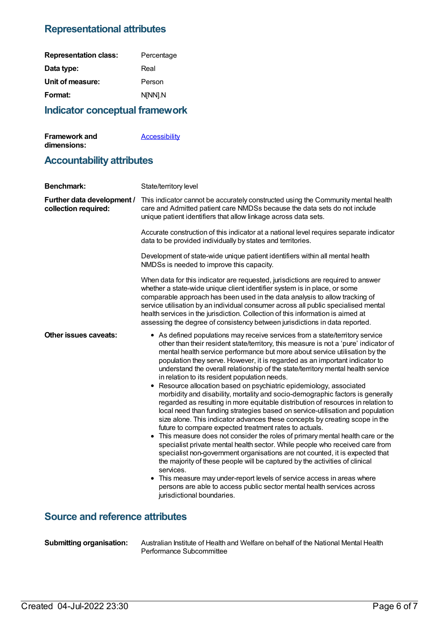## **Representational attributes**

| <b>Representation class:</b> | Percentage |
|------------------------------|------------|
| Data type:                   | Real       |
| Unit of measure:             | Person     |
| Format:                      | N[NN].N    |
|                              |            |

# **Indicator conceptual framework**

| <b>Framework and</b> | <b>Accessibility</b> |
|----------------------|----------------------|
| dimensions:          |                      |

# **Accountability attributes**

| <b>Benchmark:</b>                                  | State/territory level                                                                                                                                                                                                                                                                                                                                                                                                                                                                                                                                                                                                                                                                                                                                                                                                                                                                                                                                                                                                                                                                                                                                                                                                                                                                                                                                                                                                                                                                |
|----------------------------------------------------|--------------------------------------------------------------------------------------------------------------------------------------------------------------------------------------------------------------------------------------------------------------------------------------------------------------------------------------------------------------------------------------------------------------------------------------------------------------------------------------------------------------------------------------------------------------------------------------------------------------------------------------------------------------------------------------------------------------------------------------------------------------------------------------------------------------------------------------------------------------------------------------------------------------------------------------------------------------------------------------------------------------------------------------------------------------------------------------------------------------------------------------------------------------------------------------------------------------------------------------------------------------------------------------------------------------------------------------------------------------------------------------------------------------------------------------------------------------------------------------|
| Further data development /<br>collection required: | This indicator cannot be accurately constructed using the Community mental health<br>care and Admitted patient care NMDSs because the data sets do not include<br>unique patient identifiers that allow linkage across data sets.                                                                                                                                                                                                                                                                                                                                                                                                                                                                                                                                                                                                                                                                                                                                                                                                                                                                                                                                                                                                                                                                                                                                                                                                                                                    |
|                                                    | Accurate construction of this indicator at a national level requires separate indicator<br>data to be provided individually by states and territories.                                                                                                                                                                                                                                                                                                                                                                                                                                                                                                                                                                                                                                                                                                                                                                                                                                                                                                                                                                                                                                                                                                                                                                                                                                                                                                                               |
|                                                    | Development of state-wide unique patient identifiers within all mental health<br>NMDSs is needed to improve this capacity.                                                                                                                                                                                                                                                                                                                                                                                                                                                                                                                                                                                                                                                                                                                                                                                                                                                                                                                                                                                                                                                                                                                                                                                                                                                                                                                                                           |
|                                                    | When data for this indicator are requested, jurisdictions are required to answer<br>whether a state-wide unique client identifier system is in place, or some<br>comparable approach has been used in the data analysis to allow tracking of<br>service utilisation by an individual consumer across all public specialised mental<br>health services in the jurisdiction. Collection of this information is aimed at<br>assessing the degree of consistency between jurisdictions in data reported.                                                                                                                                                                                                                                                                                                                                                                                                                                                                                                                                                                                                                                                                                                                                                                                                                                                                                                                                                                                 |
| Other issues caveats:                              | • As defined populations may receive services from a state/territory service<br>other than their resident state/territory, this measure is not a 'pure' indicator of<br>mental health service performance but more about service utilisation by the<br>population they serve. However, it is regarded as an important indicator to<br>understand the overall relationship of the state/territory mental health service<br>in relation to its resident population needs.<br>Resource allocation based on psychiatric epidemiology, associated<br>٠<br>morbidity and disability, mortality and socio-demographic factors is generally<br>regarded as resulting in more equitable distribution of resources in relation to<br>local need than funding strategies based on service-utilisation and population<br>size alone. This indicator advances these concepts by creating scope in the<br>future to compare expected treatment rates to actuals.<br>• This measure does not consider the roles of primary mental health care or the<br>specialist private mental health sector. While people who received care from<br>specialist non-government organisations are not counted, it is expected that<br>the majority of these people will be captured by the activities of clinical<br>services.<br>• This measure may under-report levels of service access in areas where<br>persons are able to access public sector mental health services across<br>jurisdictional boundaries. |
| <b>Source and reference attributes</b>             |                                                                                                                                                                                                                                                                                                                                                                                                                                                                                                                                                                                                                                                                                                                                                                                                                                                                                                                                                                                                                                                                                                                                                                                                                                                                                                                                                                                                                                                                                      |

**Submitting organisation:** Australian Institute of Health and Welfare on behalf of the National Mental Health Performance Subcommittee